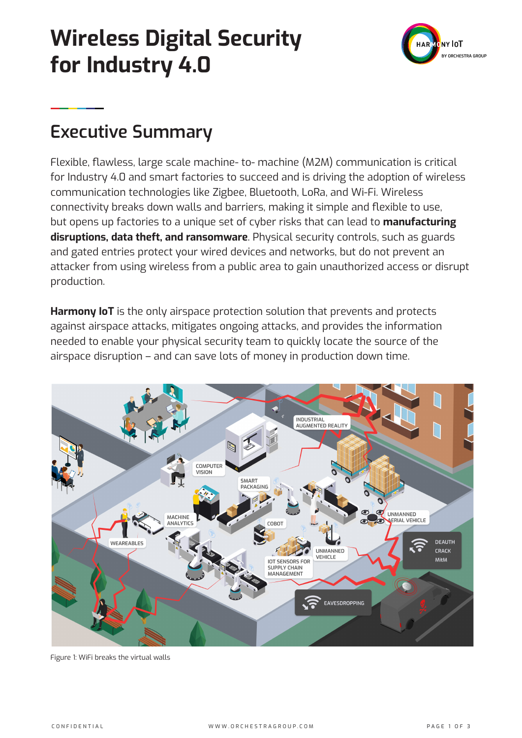# **Wireless Digital Security for Industry 4.0**



## **Executive Summary**

Flexible, flawless, large scale machine- to- machine (M2M) communication is critical for Industry 4.0 and smart factories to succeed and is driving the adoption of wireless communication technologies like Zigbee, Bluetooth, LoRa, and Wi-Fi. Wireless connectivity breaks down walls and barriers, making it simple and flexible to use, but opens up factories to a unique set of cyber risks that can lead to **manufacturing disruptions, data theft, and ransomware**. Physical security controls, such as guards and gated entries protect your wired devices and networks, but do not prevent an attacker from using wireless from a public area to gain unauthorized access or disrupt production.

**Harmony IoT** is the only airspace protection solution that prevents and protects against airspace attacks, mitigates ongoing attacks, and provides the information needed to enable your physical security team to quickly locate the source of the airspace disruption – and can save lots of money in production down time.



Figure 1: WiFi breaks the virtual walls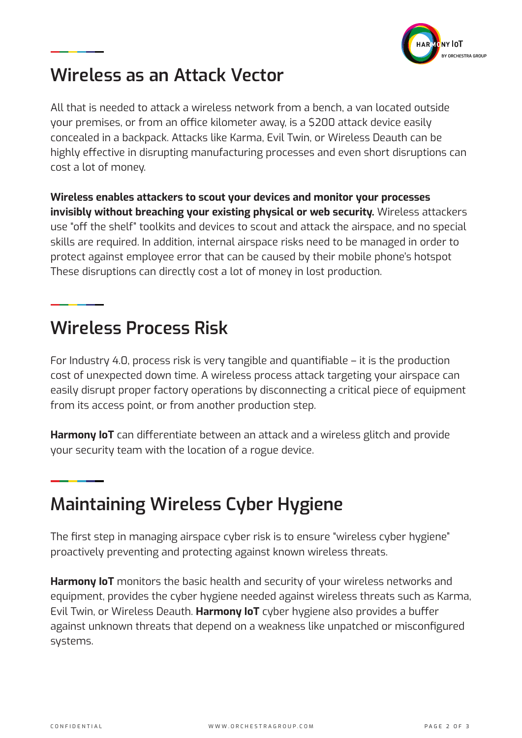

## **Wireless as an Attack Vector**

All that is needed to attack a wireless network from a bench, a van located outside your premises, or from an office kilometer away, is a \$200 attack device easily concealed in a backpack. Attacks like Karma, Evil Twin, or Wireless Deauth can be highly effective in disrupting manufacturing processes and even short disruptions can cost a lot of money.

**Wireless enables attackers to scout your devices and monitor your processes invisibly without breaching your existing physical or web security.** Wireless attackers use "off the shelf" toolkits and devices to scout and attack the airspace, and no special skills are required. In addition, internal airspace risks need to be managed in order to protect against employee error that can be caused by their mobile phone's hotspot These disruptions can directly cost a lot of money in lost production.

## **Wireless Process Risk**

For Industry 4.0, process risk is very tangible and quantifiable – it is the production cost of unexpected down time. A wireless process attack targeting your airspace can easily disrupt proper factory operations by disconnecting a critical piece of equipment from its access point, or from another production step.

**Harmony IoT** can differentiate between an attack and a wireless glitch and provide your security team with the location of a rogue device.

## **Maintaining Wireless Cyber Hygiene**

The first step in managing airspace cyber risk is to ensure "wireless cyber hygiene" proactively preventing and protecting against known wireless threats.

**Harmony IoT** monitors the basic health and security of your wireless networks and equipment, provides the cyber hygiene needed against wireless threats such as Karma, Evil Twin, or Wireless Deauth. **Harmony IoT** cyber hygiene also provides a buffer against unknown threats that depend on a weakness like unpatched or misconfigured systems.